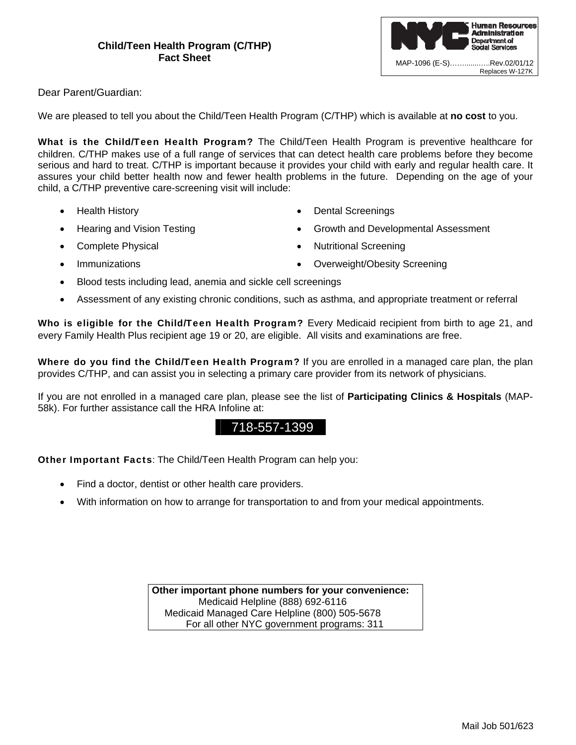

Dear Parent/Guardian:

We are pleased to tell you about the Child/Teen Health Program (C/THP) which is available at **no cost** to you.

What is the Child/Teen Health Program? The Child/Teen Health Program is preventive healthcare for children. C/THP makes use of a full range of services that can detect health care problems before they become serious and hard to treat. C/THP is important because it provides your child with early and regular health care. It assures your child better health now and fewer health problems in the future. Depending on the age of your child, a C/THP preventive care-screening visit will include:

- Health History
- Hearing and Vision Testing
- Complete Physical
- Immunizations
- Dental Screenings
- Growth and Developmental Assessment
- Nutritional Screening
- Overweight/Obesity Screening
- Blood tests including lead, anemia and sickle cell screenings
- Assessment of any existing chronic conditions, such as asthma, and appropriate treatment or referral

Who is eligible for the Child/Teen Health Program? Every Medicaid recipient from birth to age 21, and every Family Health Plus recipient age 19 or 20, are eligible. All visits and examinations are free.

Where do you find the Child/Teen Health Program? If you are enrolled in a managed care plan, the plan provides C/THP, and can assist you in selecting a primary care provider from its network of physicians.

If you are not enrolled in a managed care plan, please see the list of **Participating Clinics & Hospitals** (MAP-58k). For further assistance call the HRA Infoline at:

## 718-557-1399

Other Important Facts: The Child/Teen Health Program can help you:

- Find a doctor, dentist or other health care providers.
- With information on how to arrange for transportation to and from your medical appointments.

**Other important phone numbers for your convenience:**  Medicaid Helpline (888) 692-6116 Medicaid Managed Care Helpline (800) 505-5678 For all other NYC government programs: 311